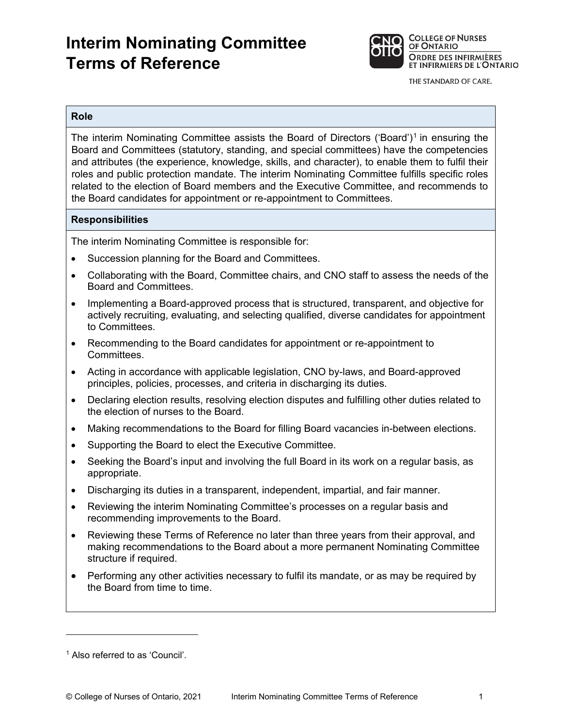# **Interim Nominating Committee Terms of Reference**



THE STANDARD OF CARE.

#### **Role**

 and attributes (the experience, knowledge, skills, and character), to enable them to fulfil their roles and public protection mandate. The interim Nominating Committee fulfills specific roles The interim Nominating Committee assists the Board of Directors ('Board')1 in ensuring the Board and Committees (statutory, standing, and special committees) have the competencies related to the election of Board members and the Executive Committee, and recommends to the Board candidates for appointment or re-appointment to Committees.

## **Responsibilities**

The interim Nominating Committee is responsible for:

- Succession planning for the Board and Committees.
- Collaborating with the Board, Committee chairs, and CNO staff to assess the needs of the Board and Committees.
- Implementing a Board-approved process that is structured, transparent, and objective for actively recruiting, evaluating, and selecting qualified, diverse candidates for appointment to Committees.
- Recommending to the Board candidates for appointment or re-appointment to Committees.
- Acting in accordance with applicable legislation, CNO by-laws, and Board-approved principles, policies, processes, and criteria in discharging its duties.
- Declaring election results, resolving election disputes and fulfilling other duties related to the election of nurses to the Board.
- Making recommendations to the Board for filling Board vacancies in-between elections.
- Supporting the Board to elect the Executive Committee.
- Seeking the Board's input and involving the full Board in its work on a regular basis, as appropriate.
- Discharging its duties in a transparent, independent, impartial, and fair manner.
- Reviewing the interim Nominating Committee's processes on a regular basis and recommending improvements to the Board.
- Reviewing these Terms of Reference no later than three years from their approval, and making recommendations to the Board about a more permanent Nominating Committee structure if required.
- Performing any other activities necessary to fulfil its mandate, or as may be required by the Board from time to time.

 1 Also referred to as 'Council'.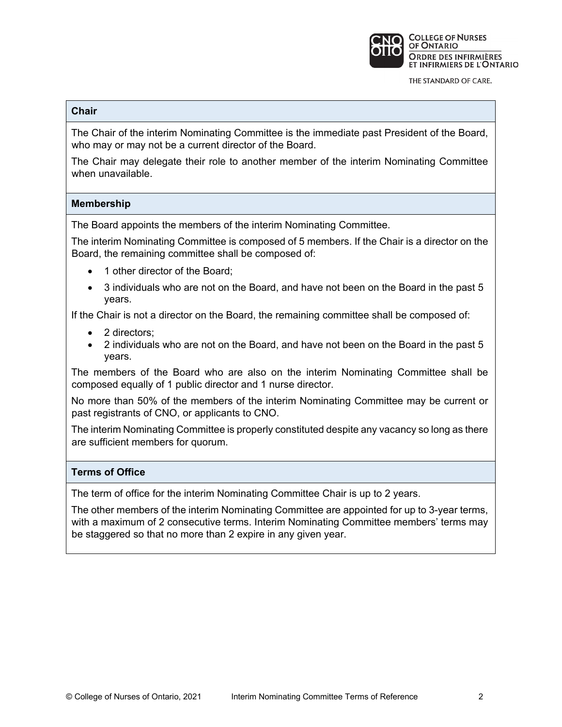

THE STANDARD OF CARE.

# **Chair**

The Chair of the interim Nominating Committee is the immediate past President of the Board, who may or may not be a current director of the Board.

 The Chair may delegate their role to another member of the interim Nominating Committee when unavailable.

#### **Membership**

The Board appoints the members of the interim Nominating Committee.

The interim Nominating Committee is composed of 5 members. If the Chair is a director on the Board, the remaining committee shall be composed of:

- 1 other director of the Board;
- 3 individuals who are not on the Board, and have not been on the Board in the past 5 years.

If the Chair is not a director on the Board, the remaining committee shall be composed of:

- 2 directors:
- 2 individuals who are not on the Board, and have not been on the Board in the past 5 years.

The members of the Board who are also on the interim Nominating Committee shall be composed equally of 1 public director and 1 nurse director.

No more than 50% of the members of the interim Nominating Committee may be current or past registrants of CNO, or applicants to CNO.

The interim Nominating Committee is properly constituted despite any vacancy so long as there are sufficient members for quorum.

# **Terms of Office**

The term of office for the interim Nominating Committee Chair is up to 2 years.

The other members of the interim Nominating Committee are appointed for up to 3-year terms, with a maximum of 2 consecutive terms. Interim Nominating Committee members' terms may be staggered so that no more than 2 expire in any given year.